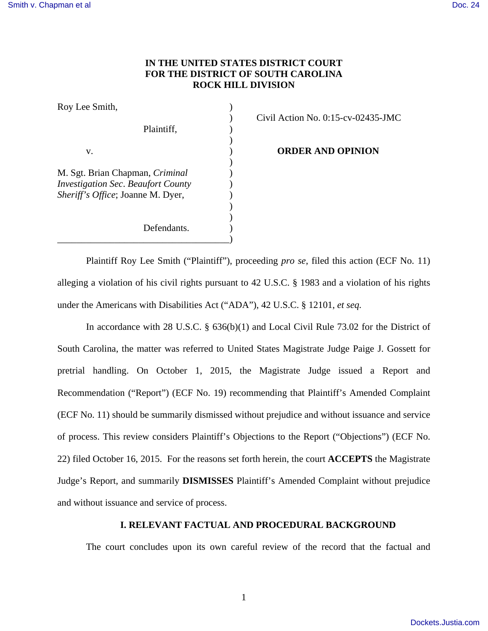## **IN THE UNITED STATES DISTRICT COURT FOR THE DISTRICT OF SOUTH CAROLINA ROCK HILL DIVISION**

| Roy Lee Smith,                                                                                                           |  |
|--------------------------------------------------------------------------------------------------------------------------|--|
| Plaintiff,                                                                                                               |  |
| V.                                                                                                                       |  |
| M. Sgt. Brian Chapman, <i>Criminal</i><br><b>Investigation Sec. Beaufort County</b><br>Sheriff's Office; Joanne M. Dyer, |  |
| Defendants.                                                                                                              |  |

) Civil Action No. 0:15-cv-02435-JMC

**ORDER AND OPINION** 

Plaintiff Roy Lee Smith ("Plaintiff"), proceeding *pro se*, filed this action (ECF No. 11) alleging a violation of his civil rights pursuant to 42 U.S.C. § 1983 and a violation of his rights under the Americans with Disabilities Act ("ADA"), 42 U.S.C. § 12101, *et seq.*

In accordance with 28 U.S.C. § 636(b)(1) and Local Civil Rule 73.02 for the District of South Carolina, the matter was referred to United States Magistrate Judge Paige J. Gossett for pretrial handling. On October 1, 2015, the Magistrate Judge issued a Report and Recommendation ("Report") (ECF No. 19) recommending that Plaintiff's Amended Complaint (ECF No. 11) should be summarily dismissed without prejudice and without issuance and service of process. This review considers Plaintiff's Objections to the Report ("Objections") (ECF No. 22) filed October 16, 2015. For the reasons set forth herein, the court **ACCEPTS** the Magistrate Judge's Report, and summarily **DISMISSES** Plaintiff's Amended Complaint without prejudice and without issuance and service of process.

### **I. RELEVANT FACTUAL AND PROCEDURAL BACKGROUND**

The court concludes upon its own careful review of the record that the factual and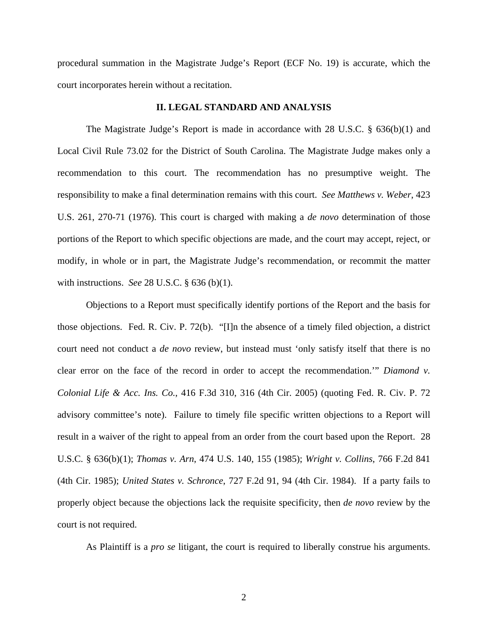procedural summation in the Magistrate Judge's Report (ECF No. 19) is accurate, which the court incorporates herein without a recitation.

#### **II. LEGAL STANDARD AND ANALYSIS**

The Magistrate Judge's Report is made in accordance with 28 U.S.C. § 636(b)(1) and Local Civil Rule 73.02 for the District of South Carolina. The Magistrate Judge makes only a recommendation to this court. The recommendation has no presumptive weight. The responsibility to make a final determination remains with this court. *See Matthews v. Weber*, 423 U.S. 261, 270-71 (1976). This court is charged with making a *de novo* determination of those portions of the Report to which specific objections are made, and the court may accept, reject, or modify, in whole or in part, the Magistrate Judge's recommendation, or recommit the matter with instructions. *See* 28 U.S.C. § 636 (b)(1).

Objections to a Report must specifically identify portions of the Report and the basis for those objections. Fed. R. Civ. P. 72(b). "[I]n the absence of a timely filed objection, a district court need not conduct a *de novo* review, but instead must 'only satisfy itself that there is no clear error on the face of the record in order to accept the recommendation.'" *Diamond v. Colonial Life & Acc. Ins. Co.*, 416 F.3d 310, 316 (4th Cir. 2005) (quoting Fed. R. Civ. P. 72 advisory committee's note). Failure to timely file specific written objections to a Report will result in a waiver of the right to appeal from an order from the court based upon the Report. 28 U.S.C. § 636(b)(1); *Thomas v. Arn*, 474 U.S. 140, 155 (1985); *Wright v. Collins*, 766 F.2d 841 (4th Cir. 1985); *United States v. Schronce*, 727 F.2d 91, 94 (4th Cir. 1984). If a party fails to properly object because the objections lack the requisite specificity, then *de novo* review by the court is not required.

As Plaintiff is a *pro se* litigant, the court is required to liberally construe his arguments.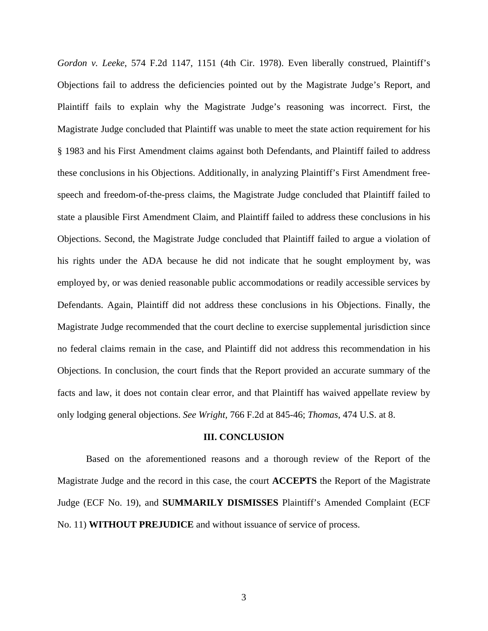*Gordon v. Leeke*, 574 F.2d 1147, 1151 (4th Cir. 1978). Even liberally construed, Plaintiff's Objections fail to address the deficiencies pointed out by the Magistrate Judge's Report, and Plaintiff fails to explain why the Magistrate Judge's reasoning was incorrect. First, the Magistrate Judge concluded that Plaintiff was unable to meet the state action requirement for his § 1983 and his First Amendment claims against both Defendants, and Plaintiff failed to address these conclusions in his Objections. Additionally, in analyzing Plaintiff's First Amendment freespeech and freedom-of-the-press claims, the Magistrate Judge concluded that Plaintiff failed to state a plausible First Amendment Claim, and Plaintiff failed to address these conclusions in his Objections. Second, the Magistrate Judge concluded that Plaintiff failed to argue a violation of his rights under the ADA because he did not indicate that he sought employment by, was employed by, or was denied reasonable public accommodations or readily accessible services by Defendants. Again, Plaintiff did not address these conclusions in his Objections. Finally, the Magistrate Judge recommended that the court decline to exercise supplemental jurisdiction since no federal claims remain in the case, and Plaintiff did not address this recommendation in his Objections. In conclusion, the court finds that the Report provided an accurate summary of the facts and law, it does not contain clear error, and that Plaintiff has waived appellate review by only lodging general objections. *See Wright,* 766 F.2d at 845-46; *Thomas*, 474 U.S. at 8.

#### **III. CONCLUSION**

Based on the aforementioned reasons and a thorough review of the Report of the Magistrate Judge and the record in this case, the court **ACCEPTS** the Report of the Magistrate Judge (ECF No. 19), and **SUMMARILY DISMISSES** Plaintiff's Amended Complaint (ECF No. 11) **WITHOUT PREJUDICE** and without issuance of service of process.